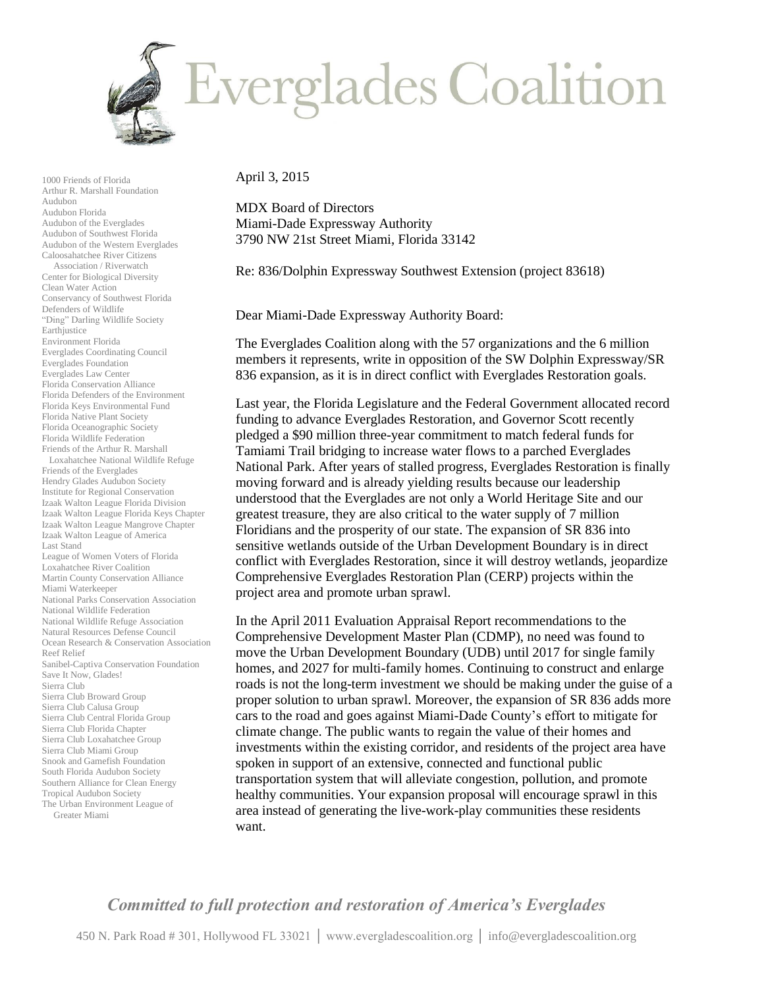

April 3, 2015

1000 Friends of Florida Arthur R. Marshall Foundation

Conservancy of Southwest Florida

Everglades Coordinating Council Everglades Foundation Everglades Law Center Florida Conservation Alliance Florida Defenders of the Environment Florida Keys Environmental Fund Florida Native Plant Society Florida Oceanographic Society Florida Wildlife Federation Friends of the Arthur R. Marshall Loxahatchee National Wildlife Refuge

Defenders of Wildlife "Ding" Darling Wildlife Society

Friends of the Everglades Hendry Glades Audubon Society Institute for Regional Conservation Izaak Walton League Florida Division Izaak Walton League Florida Keys Chapter Izaak Walton League Mangrove Chapter Izaak Walton League of America

League of Women Voters of Florida Loxahatchee River Coalition Martin County Conservation Alliance

National Parks Conservation Association

Sanibel-Captiva Conservation Foundation

Last Stand

Reef Relief

Miami Waterkeeper

Save It Now, Glades! Sierra Club

Greater Miami

Sierra Club Broward Group Sierra Club Calusa Group Sierra Club Central Florida Group Sierra Club Florida Chapter Sierra Club Loxahatchee Group Sierra Club Miami Group Snook and Gamefish Foundation South Florida Audubon Society Southern Alliance for Clean Energy Tropical Audubon Society The Urban Environment League of

National Wildlife Federation National Wildlife Refuge Association Natural Resources Defense Council Ocean Research & Conservation Association

Earthjustice Environment Florida

Audubon Audubon Florida Audubon of the Everglades Audubon of Southwest Florida Audubon of the Western Everglades Caloosahatchee River Citizens Association / Riverwatch Center for Biological Diversity Clean Water Action

MDX Board of Directors Miami-Dade Expressway Authority 3790 NW 21st Street Miami, Florida 33142

Re: 836/Dolphin Expressway Southwest Extension (project 83618)

Dear Miami-Dade Expressway Authority Board:

The Everglades Coalition along with the 57 organizations and the 6 million members it represents, write in opposition of the SW Dolphin Expressway/SR 836 expansion, as it is in direct conflict with Everglades Restoration goals.

Last year, the Florida Legislature and the Federal Government allocated record funding to advance Everglades Restoration, and Governor Scott recently pledged a \$90 million three-year commitment to match federal funds for Tamiami Trail bridging to increase water flows to a parched Everglades National Park. After years of stalled progress, Everglades Restoration is finally moving forward and is already yielding results because our leadership understood that the Everglades are not only a World Heritage Site and our greatest treasure, they are also critical to the water supply of 7 million Floridians and the prosperity of our state. The expansion of SR 836 into sensitive wetlands outside of the Urban Development Boundary is in direct conflict with Everglades Restoration, since it will destroy wetlands, jeopardize Comprehensive Everglades Restoration Plan (CERP) projects within the project area and promote urban sprawl.

In the April 2011 Evaluation Appraisal Report recommendations to the Comprehensive Development Master Plan (CDMP), no need was found to move the Urban Development Boundary (UDB) until 2017 for single family homes, and 2027 for multi-family homes. Continuing to construct and enlarge roads is not the long-term investment we should be making under the guise of a proper solution to urban sprawl. Moreover, the expansion of SR 836 adds more cars to the road and goes against Miami-Dade County's effort to mitigate for climate change. The public wants to regain the value of their homes and investments within the existing corridor, and residents of the project area have spoken in support of an extensive, connected and functional public transportation system that will alleviate congestion, pollution, and promote healthy communities. Your expansion proposal will encourage sprawl in this area instead of generating the live-work-play communities these residents want.

## *Committed to full protection and restoration of America's Everglades*